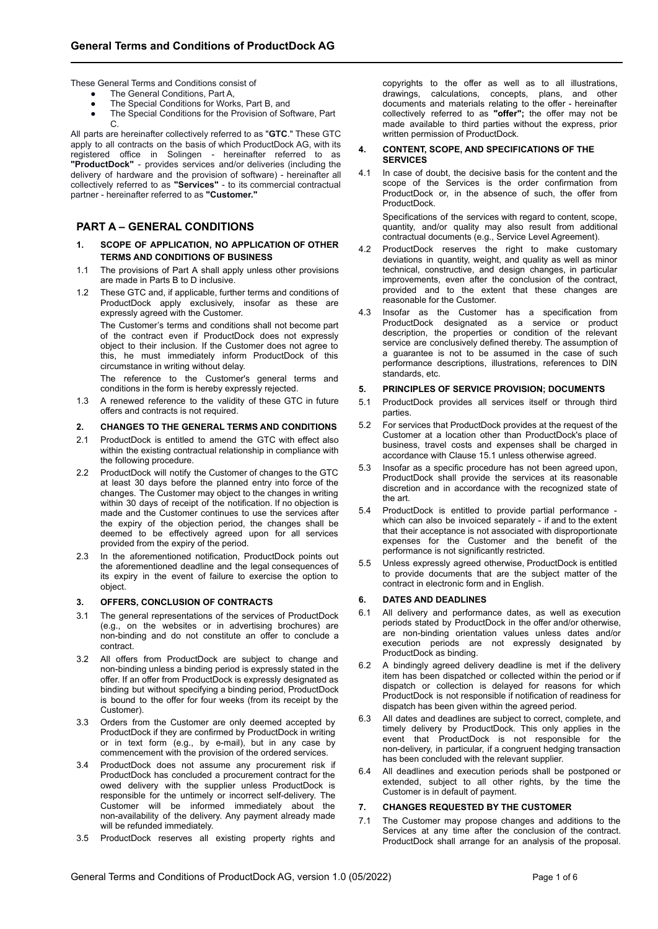These General Terms and Conditions consist of

- The General Conditions, Part A,
- The Special Conditions for Works, Part B, and<br>• The Special Conditions for the Provision of Sot
- The Special Conditions for the Provision of Software, Part C.

All parts are hereinafter collectively referred to as "**GTC**." These GTC apply to all contracts on the basis of which ProductDock AG, with its registered office in Solingen - hereinafter referred to as **"ProductDock"** - provides services and/or deliveries (including the delivery of hardware and the provision of software) - hereinafter all collectively referred to as **"Services"** - to its commercial contractual partner - hereinafter referred to as **"Customer."**

# **PART A – GENERAL CONDITIONS**

- **1. SCOPE OF APPLICATION, NO APPLICATION OF OTHER TERMS AND CONDITIONS OF BUSINESS**
- 1.1 The provisions of Part A shall apply unless other provisions are made in Parts B to D inclusive.
- 1.2 These GTC and, if applicable, further terms and conditions of ProductDock apply exclusively, insofar as these are expressly agreed with the Customer.

The Customer's terms and conditions shall not become part of the contract even if ProductDock does not expressly object to their inclusion. If the Customer does not agree to this, he must immediately inform ProductDock of this circumstance in writing without delay.

The reference to the Customer's general terms and conditions in the form is hereby expressly rejected.

1.3 A renewed reference to the validity of these GTC in future offers and contracts is not required.

## **2. CHANGES TO THE GENERAL TERMS AND CONDITIONS**

- 2.1 ProductDock is entitled to amend the GTC with effect also within the existing contractual relationship in compliance with the following procedure.
- 2.2 ProductDock will notify the Customer of changes to the GTC at least 30 days before the planned entry into force of the changes. The Customer may object to the changes in writing within 30 days of receipt of the notification. If no objection is made and the Customer continues to use the services after the expiry of the objection period, the changes shall be deemed to be effectively agreed upon for all services provided from the expiry of the period.
- 2.3 In the aforementioned notification, ProductDock points out the aforementioned deadline and the legal consequences of its expiry in the event of failure to exercise the option to object.

### **3. OFFERS, CONCLUSION OF CONTRACTS**

- 3.1 The general representations of the services of ProductDock (e.g., on the websites or in advertising brochures) are non-binding and do not constitute an offer to conclude a contract.
- 3.2 All offers from ProductDock are subject to change and non-binding unless a binding period is expressly stated in the offer. If an offer from ProductDock is expressly designated as binding but without specifying a binding period, ProductDock is bound to the offer for four weeks (from its receipt by the Customer).
- 3.3 Orders from the Customer are only deemed accepted by ProductDock if they are confirmed by ProductDock in writing or in text form (e.g., by e-mail), but in any case by commencement with the provision of the ordered services.
- 3.4 ProductDock does not assume any procurement risk if ProductDock has concluded a procurement contract for the owed delivery with the supplier unless ProductDock is responsible for the untimely or incorrect self-delivery. The Customer will be informed immediately about the non-availability of the delivery. Any payment already made will be refunded immediately.
- 3.5 ProductDock reserves all existing property rights and

copyrights to the offer as well as to all illustrations, drawings, calculations, concepts, plans, and other documents and materials relating to the offer - hereinafter collectively referred to as **"offer";** the offer may not be made available to third parties without the express, prior written permission of ProductDock.

#### **4. CONTENT, SCOPE, AND SPECIFICATIONS OF THE SERVICES**

4.1 In case of doubt, the decisive basis for the content and the scope of the Services is the order confirmation from ProductDock or, in the absence of such, the offer from ProductDock.

Specifications of the services with regard to content, scope, quantity, and/or quality may also result from additional contractual documents (e.g., Service Level Agreement).

- 4.2 ProductDock reserves the right to make customary deviations in quantity, weight, and quality as well as minor technical, constructive, and design changes, in particular improvements, even after the conclusion of the contract, provided and to the extent that these changes are reasonable for the Customer.
- 4.3 Insofar as the Customer has a specification from ProductDock designated as a service or product description, the properties or condition of the relevant service are conclusively defined thereby. The assumption of a guarantee is not to be assumed in the case of such performance descriptions, illustrations, references to DIN standards, etc.

#### **5. PRINCIPLES OF SERVICE PROVISION; DOCUMENTS**

- 5.1 ProductDock provides all services itself or through third parties.
- 5.2 For services that ProductDock provides at the request of the Customer at a location other than ProductDock's place of business, travel costs and expenses shall be charged in accordance with Clause 15.1 unless otherwise agreed.
- Insofar as a specific procedure has not been agreed upon, ProductDock shall provide the services at its reasonable discretion and in accordance with the recognized state of the art.
- 5.4 ProductDock is entitled to provide partial performance which can also be invoiced separately - if and to the extent that their acceptance is not associated with disproportionate expenses for the Customer and the benefit of the performance is not significantly restricted.
- 5.5 Unless expressly agreed otherwise, ProductDock is entitled to provide documents that are the subject matter of the contract in electronic form and in English.

### **6. DATES AND DEADLINES**

- 6.1 All delivery and performance dates, as well as execution periods stated by ProductDock in the offer and/or otherwise, are non-binding orientation values unless dates and/or execution periods are not expressly designated by ProductDock as binding.
- 6.2 A bindingly agreed delivery deadline is met if the delivery item has been dispatched or collected within the period or if dispatch or collection is delayed for reasons for which ProductDock is not responsible if notification of readiness for dispatch has been given within the agreed period.
- 6.3 All dates and deadlines are subject to correct, complete, and timely delivery by ProductDock. This only applies in the event that ProductDock is not responsible for the non-delivery, in particular, if a congruent hedging transaction has been concluded with the relevant supplier.
- 6.4 All deadlines and execution periods shall be postponed or extended, subject to all other rights, by the time the Customer is in default of payment.

## **7. CHANGES REQUESTED BY THE CUSTOMER**

7.1 The Customer may propose changes and additions to the Services at any time after the conclusion of the contract. ProductDock shall arrange for an analysis of the proposal.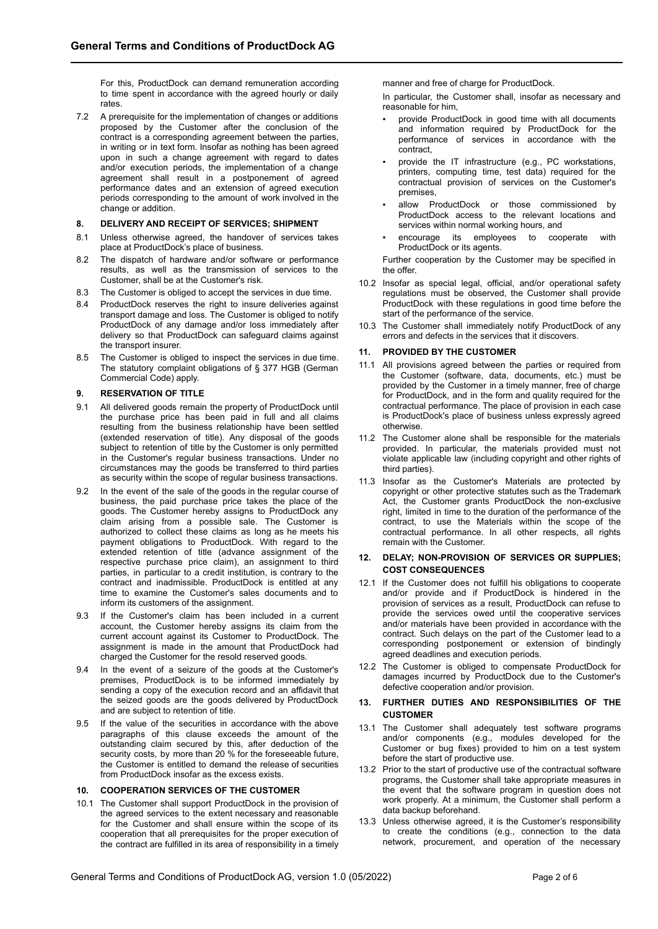For this, ProductDock can demand remuneration according to time spent in accordance with the agreed hourly or daily rates.

7.2 A prerequisite for the implementation of changes or additions proposed by the Customer after the conclusion of the contract is a corresponding agreement between the parties, in writing or in text form. Insofar as nothing has been agreed upon in such a change agreement with regard to dates and/or execution periods, the implementation of a change agreement shall result in a postponement of agreed performance dates and an extension of agreed execution periods corresponding to the amount of work involved in the change or addition.

### **8. DELIVERY AND RECEIPT OF SERVICES; SHIPMENT**

- 8.1 Unless otherwise agreed, the handover of services takes place at ProductDock's place of business.
- 8.2 The dispatch of hardware and/or software or performance results, as well as the transmission of services to the Customer, shall be at the Customer's risk.
- 8.3 The Customer is obliged to accept the services in due time.
- 8.4 ProductDock reserves the right to insure deliveries against transport damage and loss. The Customer is obliged to notify ProductDock of any damage and/or loss immediately after delivery so that ProductDock can safeguard claims against the transport insurer.
- 8.5 The Customer is obliged to inspect the services in due time. The statutory complaint obligations of § 377 HGB (German Commercial Code) apply.

## **9. RESERVATION OF TITLE**

- 9.1 All delivered goods remain the property of ProductDock until the purchase price has been paid in full and all claims resulting from the business relationship have been settled (extended reservation of title). Any disposal of the goods subject to retention of title by the Customer is only permitted in the Customer's regular business transactions. Under no circumstances may the goods be transferred to third parties as security within the scope of regular business transactions.
- 9.2 In the event of the sale of the goods in the regular course of business, the paid purchase price takes the place of the goods. The Customer hereby assigns to ProductDock any claim arising from a possible sale. The Customer is authorized to collect these claims as long as he meets his payment obligations to ProductDock. With regard to the extended retention of title (advance assignment of the respective purchase price claim), an assignment to third parties, in particular to a credit institution, is contrary to the contract and inadmissible. ProductDock is entitled at any time to examine the Customer's sales documents and to inform its customers of the assignment.
- 9.3 If the Customer's claim has been included in a current account, the Customer hereby assigns its claim from the current account against its Customer to ProductDock. The assignment is made in the amount that ProductDock had charged the Customer for the resold reserved goods.
- 9.4 In the event of a seizure of the goods at the Customer's premises, ProductDock is to be informed immediately by sending a copy of the execution record and an affidavit that the seized goods are the goods delivered by ProductDock and are subject to retention of title.
- 9.5 If the value of the securities in accordance with the above paragraphs of this clause exceeds the amount of the outstanding claim secured by this, after deduction of the security costs, by more than 20 % for the foreseeable future, the Customer is entitled to demand the release of securities from ProductDock insofar as the excess exists.

## **10. COOPERATION SERVICES OF THE CUSTOMER**

10.1 The Customer shall support ProductDock in the provision of the agreed services to the extent necessary and reasonable for the Customer and shall ensure within the scope of its cooperation that all prerequisites for the proper execution of the contract are fulfilled in its area of responsibility in a timely manner and free of charge for ProductDock.

In particular, the Customer shall, insofar as necessary and reasonable for him,

- provide ProductDock in good time with all documents and information required by ProductDock for the performance of services in accordance with the contract,
- provide the IT infrastructure (e.g., PC workstations, printers, computing time, test data) required for the contractual provision of services on the Customer's premises,
- allow ProductDock or those commissioned by ProductDock access to the relevant locations and services within normal working hours, and
- encourage its employees to cooperate with ProductDock or its agents.

Further cooperation by the Customer may be specified in the offer.

- 10.2 Insofar as special legal, official, and/or operational safety regulations must be observed, the Customer shall provide ProductDock with these regulations in good time before the start of the performance of the service.
- 10.3 The Customer shall immediately notify ProductDock of any errors and defects in the services that it discovers.

## **11. PROVIDED BY THE CUSTOMER**

- 11.1 All provisions agreed between the parties or required from the Customer (software, data, documents, etc.) must be provided by the Customer in a timely manner, free of charge for ProductDock, and in the form and quality required for the contractual performance. The place of provision in each case is ProductDock's place of business unless expressly agreed otherwise.
- 11.2 The Customer alone shall be responsible for the materials provided. In particular, the materials provided must not violate applicable law (including copyright and other rights of third parties).
- 11.3 Insofar as the Customer's Materials are protected by copyright or other protective statutes such as the Trademark Act, the Customer grants ProductDock the non-exclusive right, limited in time to the duration of the performance of the contract, to use the Materials within the scope of the contractual performance. In all other respects, all rights remain with the Customer.

## **12. DELAY; NON-PROVISION OF SERVICES OR SUPPLIES; COST CONSEQUENCES**

- 12.1 If the Customer does not fulfill his obligations to cooperate and/or provide and if ProductDock is hindered in the provision of services as a result, ProductDock can refuse to provide the services owed until the cooperative services and/or materials have been provided in accordance with the contract. Such delays on the part of the Customer lead to a corresponding postponement or extension of bindingly agreed deadlines and execution periods.
- 12.2 The Customer is obliged to compensate ProductDock for damages incurred by ProductDock due to the Customer's defective cooperation and/or provision.

## **13. FURTHER DUTIES AND RESPONSIBILITIES OF THE CUSTOMER**

- 13.1 The Customer shall adequately test software programs and/or components (e.g., modules developed for the Customer or bug fixes) provided to him on a test system before the start of productive use.
- 13.2 Prior to the start of productive use of the contractual software programs, the Customer shall take appropriate measures in the event that the software program in question does not work properly. At a minimum, the Customer shall perform a data backup beforehand.
- 13.3 Unless otherwise agreed, it is the Customer's responsibility to create the conditions (e.g., connection to the data network, procurement, and operation of the necessary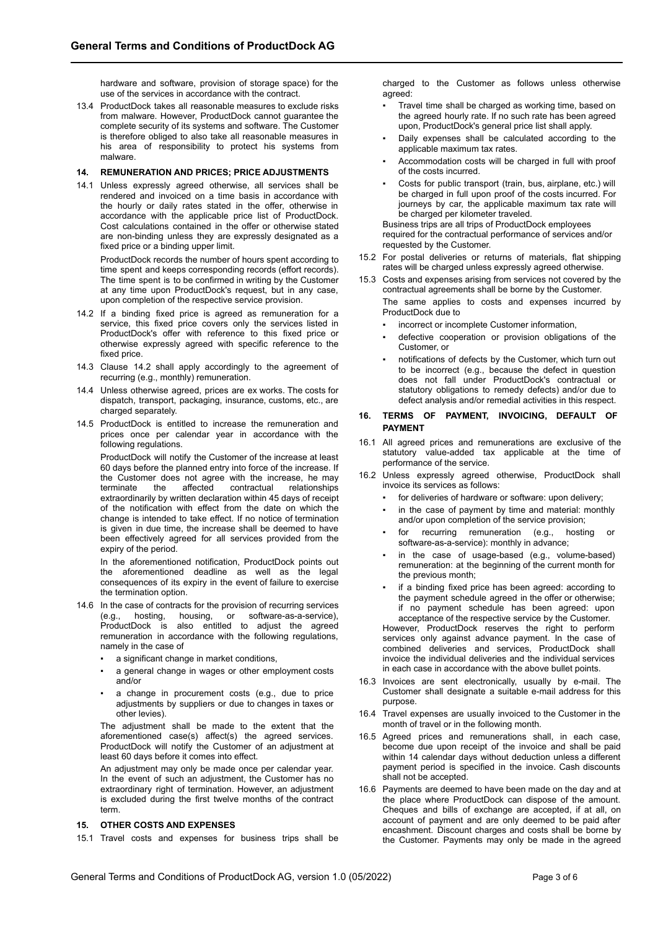hardware and software, provision of storage space) for the use of the services in accordance with the contract.

13.4 ProductDock takes all reasonable measures to exclude risks from malware. However, ProductDock cannot guarantee the complete security of its systems and software. The Customer is therefore obliged to also take all reasonable measures in his area of responsibility to protect his systems from malware.

#### **14. REMUNERATION AND PRICES; PRICE ADJUSTMENTS**

14.1 Unless expressly agreed otherwise, all services shall be rendered and invoiced on a time basis in accordance with the hourly or daily rates stated in the offer, otherwise in accordance with the applicable price list of ProductDock. Cost calculations contained in the offer or otherwise stated are non-binding unless they are expressly designated as a fixed price or a binding upper limit.

ProductDock records the number of hours spent according to time spent and keeps corresponding records (effort records). The time spent is to be confirmed in writing by the Customer at any time upon ProductDock's request, but in any case, upon completion of the respective service provision.

- 14.2 If a binding fixed price is agreed as remuneration for a service, this fixed price covers only the services listed in ProductDock's offer with reference to this fixed price or otherwise expressly agreed with specific reference to the fixed price.
- 14.3 Clause 14.2 shall apply accordingly to the agreement of recurring (e.g., monthly) remuneration.
- 14.4 Unless otherwise agreed, prices are ex works. The costs for dispatch, transport, packaging, insurance, customs, etc., are charged separately.
- 14.5 ProductDock is entitled to increase the remuneration and prices once per calendar year in accordance with the following regulations.

ProductDock will notify the Customer of the increase at least 60 days before the planned entry into force of the increase. If the Customer does not agree with the increase, he may terminate the affected contractual relationships extraordinarily by written declaration within 45 days of receipt of the notification with effect from the date on which the change is intended to take effect. If no notice of termination is given in due time, the increase shall be deemed to have been effectively agreed for all services provided from the expiry of the period.

In the aforementioned notification, ProductDock points out the aforementioned deadline as well as the legal consequences of its expiry in the event of failure to exercise the termination option.

- 14.6 In the case of contracts for the provision of recurring services (e.g., hosting, housing, or software-as-a-service), ProductDock is also entitled to adjust the agreed remuneration in accordance with the following regulations, namely in the case of
	- a significant change in market conditions,
	- a general change in wages or other employment costs and/or
	- a change in procurement costs (e.g., due to price adjustments by suppliers or due to changes in taxes or other levies).

The adjustment shall be made to the extent that the aforementioned case(s) affect(s) the agreed services. ProductDock will notify the Customer of an adjustment at least 60 days before it comes into effect.

An adiustment may only be made once per calendar year. In the event of such an adjustment, the Customer has no extraordinary right of termination. However, an adjustment is excluded during the first twelve months of the contract term

## **15. OTHER COSTS AND EXPENSES**

15.1 Travel costs and expenses for business trips shall be

charged to the Customer as follows unless otherwise agreed:

- Travel time shall be charged as working time, based on the agreed hourly rate. If no such rate has been agreed upon, ProductDock's general price list shall apply.
- Daily expenses shall be calculated according to the applicable maximum tax rates.
- Accommodation costs will be charged in full with proof of the costs incurred.
- Costs for public transport (train, bus, airplane, etc.) will be charged in full upon proof of the costs incurred. For journeys by car, the applicable maximum tax rate will be charged per kilometer traveled.

Business trips are all trips of ProductDock employees required for the contractual performance of services and/or requested by the Customer.

- 15.2 For postal deliveries or returns of materials, flat shipping rates will be charged unless expressly agreed otherwise.
- 15.3 Costs and expenses arising from services not covered by the contractual agreements shall be borne by the Customer. The same applies to costs and expenses incurred by ProductDock due to
	- incorrect or incomplete Customer information.
	- defective cooperation or provision obligations of the Customer<sub>or</sub>
	- notifications of defects by the Customer, which turn out to be incorrect (e.g., because the defect in question does not fall under ProductDock's contractual or statutory obligations to remedy defects) and/or due to defect analysis and/or remedial activities in this respect.

## **16. TERMS OF PAYMENT, INVOICING, DEFAULT OF PAYMENT**

- 16.1 All agreed prices and remunerations are exclusive of the statutory value-added tax applicable at the time of performance of the service.
- 16.2 Unless expressly agreed otherwise, ProductDock shall invoice its services as follows:
	- for deliveries of hardware or software: upon delivery;
	- in the case of payment by time and material: monthly and/or upon completion of the service provision;
	- for recurring remuneration (e.g., hosting software-as-a-service): monthly in advance;
	- in the case of usage-based (e.g., volume-based) remuneration: at the beginning of the current month for the previous month;
	- if a binding fixed price has been agreed: according to the payment schedule agreed in the offer or otherwise; if no payment schedule has been agreed: upon acceptance of the respective service by the Customer.

However, ProductDock reserves the right to perform services only against advance payment. In the case of combined deliveries and services, ProductDock shall invoice the individual deliveries and the individual services in each case in accordance with the above bullet points.

- 16.3 Invoices are sent electronically, usually by e-mail. The Customer shall designate a suitable e-mail address for this purpose.
- 16.4 Travel expenses are usually invoiced to the Customer in the month of travel or in the following month.
- 16.5 Agreed prices and remunerations shall, in each case, become due upon receipt of the invoice and shall be paid within 14 calendar days without deduction unless a different payment period is specified in the invoice. Cash discounts shall not be accepted.
- 16.6 Payments are deemed to have been made on the day and at the place where ProductDock can dispose of the amount. Cheques and bills of exchange are accepted, if at all, on account of payment and are only deemed to be paid after encashment. Discount charges and costs shall be borne by the Customer. Payments may only be made in the agreed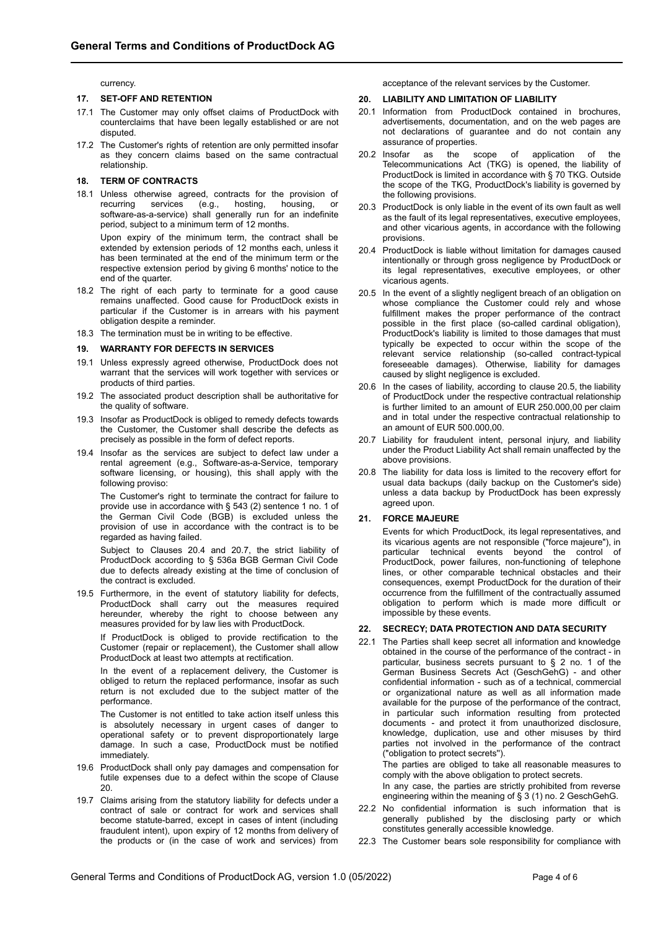currency.

#### **17. SET-OFF AND RETENTION**

- 17.1 The Customer may only offset claims of ProductDock with counterclaims that have been legally established or are not disputed.
- 17.2 The Customer's rights of retention are only permitted insofar as they concern claims based on the same contractual relationship.

#### **18. TERM OF CONTRACTS**

18.1 Unless otherwise agreed, contracts for the provision of recurring services (e.g., hosting, housing, or recurring services (e.g., hosting, housing, or software-as-a-service) shall generally run for an indefinite period, subject to a minimum term of 12 months.

Upon expiry of the minimum term, the contract shall be extended by extension periods of 12 months each, unless it has been terminated at the end of the minimum term or the respective extension period by giving 6 months' notice to the end of the quarter.

- 18.2 The right of each party to terminate for a good cause remains unaffected. Good cause for ProductDock exists in particular if the Customer is in arrears with his payment obligation despite a reminder.
- 18.3 The termination must be in writing to be effective.

#### **19. WARRANTY FOR DEFECTS IN SERVICES**

- 19.1 Unless expressly agreed otherwise, ProductDock does not warrant that the services will work together with services or products of third parties.
- 19.2 The associated product description shall be authoritative for the quality of software.
- 19.3 Insofar as ProductDock is obliged to remedy defects towards the Customer, the Customer shall describe the defects as precisely as possible in the form of defect reports.
- 19.4 Insofar as the services are subject to defect law under a rental agreement (e.g., Software-as-a-Service, temporary software licensing, or housing), this shall apply with the following proviso:

The Customer's right to terminate the contract for failure to provide use in accordance with § 543 (2) sentence 1 no. 1 of the German Civil Code (BGB) is excluded unless the provision of use in accordance with the contract is to be regarded as having failed.

Subject to Clauses 20.4 and 20.7, the strict liability of ProductDock according to § 536a BGB German Civil Code due to defects already existing at the time of conclusion of the contract is excluded.

19.5 Furthermore, in the event of statutory liability for defects, ProductDock shall carry out the measures required hereunder, whereby the right to choose between any measures provided for by law lies with ProductDock.

If ProductDock is obliged to provide rectification to the Customer (repair or replacement), the Customer shall allow ProductDock at least two attempts at rectification.

In the event of a replacement delivery, the Customer is obliged to return the replaced performance, insofar as such return is not excluded due to the subject matter of the performance.

The Customer is not entitled to take action itself unless this is absolutely necessary in urgent cases of danger to operational safety or to prevent disproportionately large damage. In such a case, ProductDock must be notified immediately.

- 19.6 ProductDock shall only pay damages and compensation for futile expenses due to a defect within the scope of Clause 20.
- 19.7 Claims arising from the statutory liability for defects under a contract of sale or contract for work and services shall become statute-barred, except in cases of intent (including fraudulent intent), upon expiry of 12 months from delivery of the products or (in the case of work and services) from

acceptance of the relevant services by the Customer.

#### **20. LIABILITY AND LIMITATION OF LIABILITY**

- 20.1 Information from ProductDock contained in brochures, advertisements, documentation, and on the web pages are not declarations of guarantee and do not contain any assurance of properties.
- 20.2 Insofar as the scope of application of the Telecommunications Act (TKG) is opened, the liability of ProductDock is limited in accordance with § 70 TKG. Outside the scope of the TKG, ProductDock's liability is governed by the following provisions.
- 20.3 ProductDock is only liable in the event of its own fault as well as the fault of its legal representatives, executive employees, and other vicarious agents, in accordance with the following provisions.
- 20.4 ProductDock is liable without limitation for damages caused intentionally or through gross negligence by ProductDock or its legal representatives, executive employees, or other vicarious agents.
- 20.5 In the event of a slightly negligent breach of an obligation on whose compliance the Customer could rely and whose fulfillment makes the proper performance of the contract possible in the first place (so-called cardinal obligation), ProductDock's liability is limited to those damages that must typically be expected to occur within the scope of the relevant service relationship (so-called contract-typical foreseeable damages). Otherwise, liability for damages caused by slight negligence is excluded.
- 20.6 In the cases of liability, according to clause 20.5, the liability of ProductDock under the respective contractual relationship is further limited to an amount of EUR 250.000,00 per claim and in total under the respective contractual relationship to an amount of EUR 500.000,00.
- 20.7 Liability for fraudulent intent, personal injury, and liability under the Product Liability Act shall remain unaffected by the above provisions.
- 20.8 The liability for data loss is limited to the recovery effort for usual data backups (daily backup on the Customer's side) unless a data backup by ProductDock has been expressly agreed upon.

#### **21. FORCE MAJEURE**

Events for which ProductDock, its legal representatives, and its vicarious agents are not responsible ("force majeure"), in particular technical events beyond the control of ProductDock, power failures, non-functioning of telephone lines, or other comparable technical obstacles and their consequences, exempt ProductDock for the duration of their occurrence from the fulfillment of the contractually assumed obligation to perform which is made more difficult or impossible by these events.

#### **22. SECRECY; DATA PROTECTION AND DATA SECURITY**

22.1 The Parties shall keep secret all information and knowledge obtained in the course of the performance of the contract - in particular, business secrets pursuant to § 2 no. 1 of the German Business Secrets Act (GeschGehG) - and other confidential information - such as of a technical, commercial or organizational nature as well as all information made available for the purpose of the performance of the contract, in particular such information resulting from protected documents - and protect it from unauthorized disclosure, knowledge, duplication, use and other misuses by third parties not involved in the performance of the contract ("obligation to protect secrets'').

The parties are obliged to take all reasonable measures to comply with the above obligation to protect secrets. In any case, the parties are strictly prohibited from reverse engineering within the meaning of § 3 (1) no. 2 GeschGehG.

- 22.2 No confidential information is such information that is generally published by the disclosing party or which constitutes generally accessible knowledge.
- 22.3 The Customer bears sole responsibility for compliance with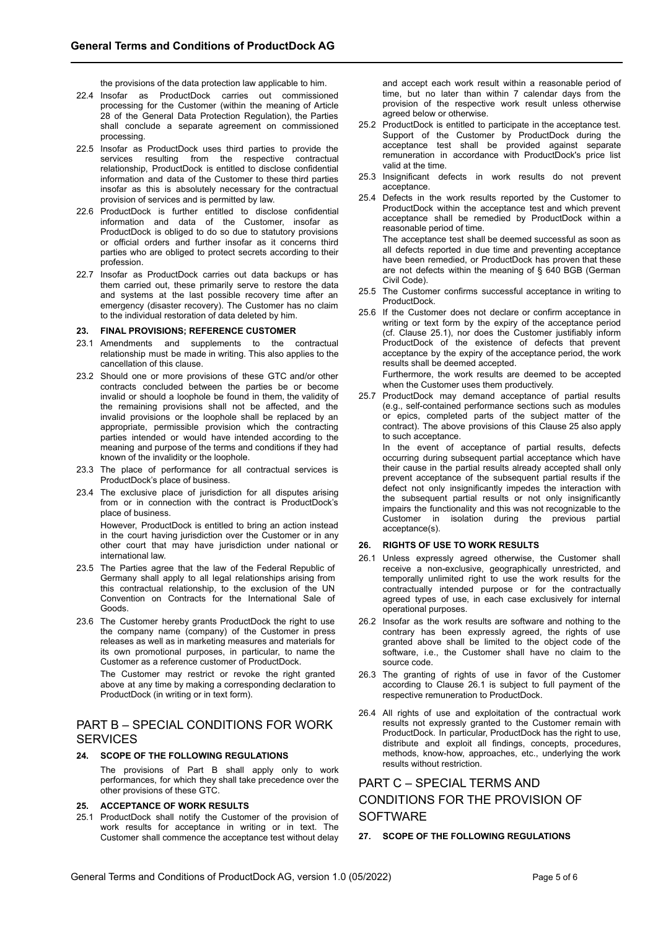the provisions of the data protection law applicable to him.

- 22.4 Insofar as ProductDock carries out commissioned processing for the Customer (within the meaning of Article 28 of the General Data Protection Regulation), the Parties shall conclude a separate agreement on commissioned processing.
- 22.5 Insofar as ProductDock uses third parties to provide the services resulting from the respective contractual relationship, ProductDock is entitled to disclose confidential information and data of the Customer to these third parties insofar as this is absolutely necessary for the contractual provision of services and is permitted by law.
- 22.6 ProductDock is further entitled to disclose confidential information and data of the Customer, insofar as ProductDock is obliged to do so due to statutory provisions or official orders and further insofar as it concerns third parties who are obliged to protect secrets according to their profession.
- 22.7 Insofar as ProductDock carries out data backups or has them carried out, these primarily serve to restore the data and systems at the last possible recovery time after an emergency (disaster recovery). The Customer has no claim to the individual restoration of data deleted by him.

#### **23. FINAL PROVISIONS; REFERENCE CUSTOMER**

- 23.1 Amendments and supplements to the contractual relationship must be made in writing. This also applies to the cancellation of this clause.
- 23.2 Should one or more provisions of these GTC and/or other contracts concluded between the parties be or become invalid or should a loophole be found in them, the validity of the remaining provisions shall not be affected, and the invalid provisions or the loophole shall be replaced by an appropriate, permissible provision which the contracting parties intended or would have intended according to the meaning and purpose of the terms and conditions if they had known of the invalidity or the loophole.
- 23.3 The place of performance for all contractual services is ProductDock's place of business.
- 23.4 The exclusive place of jurisdiction for all disputes arising from or in connection with the contract is ProductDock's place of business.

However, ProductDock is entitled to bring an action instead in the court having jurisdiction over the Customer or in any other court that may have jurisdiction under national or international law.

- 23.5 The Parties agree that the law of the Federal Republic of Germany shall apply to all legal relationships arising from this contractual relationship, to the exclusion of the UN Convention on Contracts for the International Sale of Goods.
- 23.6 The Customer hereby grants ProductDock the right to use the company name (company) of the Customer in press releases as well as in marketing measures and materials for its own promotional purposes, in particular, to name the Customer as a reference customer of ProductDock.

The Customer may restrict or revoke the right granted above at any time by making a corresponding declaration to ProductDock (in writing or in text form).

# PART B – SPECIAL CONDITIONS FOR WORK **SERVICES**

### **24. SCOPE OF THE FOLLOWING REGULATIONS**

The provisions of Part B shall apply only to work performances, for which they shall take precedence over the other provisions of these GTC.

## **25. ACCEPTANCE OF WORK RESULTS**

25.1 ProductDock shall notify the Customer of the provision of work results for acceptance in writing or in text. The Customer shall commence the acceptance test without delay and accept each work result within a reasonable period of time, but no later than within 7 calendar days from the provision of the respective work result unless otherwise agreed below or otherwise.

- 25.2 ProductDock is entitled to participate in the acceptance test. Support of the Customer by ProductDock during the acceptance test shall be provided against separate remuneration in accordance with ProductDock's price list valid at the time.
- 25.3 Insignificant defects in work results do not prevent acceptance.
- 25.4 Defects in the work results reported by the Customer to ProductDock within the acceptance test and which prevent acceptance shall be remedied by ProductDock within a reasonable period of time. The acceptance test shall be deemed successful as soon as all defects reported in due time and preventing acceptance have been remedied, or ProductDock has proven that these are not defects within the meaning of § 640 BGB (German Civil Code).
- 25.5 The Customer confirms successful acceptance in writing to ProductDock.
- 25.6 If the Customer does not declare or confirm acceptance in writing or text form by the expiry of the acceptance period (cf. Clause 25.1), nor does the Customer justifiably inform ProductDock of the existence of defects that prevent acceptance by the expiry of the acceptance period, the work results shall be deemed accepted.

Furthermore, the work results are deemed to be accepted when the Customer uses them productively.

25.7 ProductDock may demand acceptance of partial results (e.g., self-contained performance sections such as modules or epics, completed parts of the subject matter of the contract). The above provisions of this Clause 25 also apply to such acceptance.

In the event of acceptance of partial results, defects occurring during subsequent partial acceptance which have their cause in the partial results already accepted shall only prevent acceptance of the subsequent partial results if the defect not only insignificantly impedes the interaction with the subsequent partial results or not only insignificantly impairs the functionality and this was not recognizable to the Customer in isolation during the previous partial acceptance(s).

## **26. RIGHTS OF USE TO WORK RESULTS**

- 26.1 Unless expressly agreed otherwise, the Customer shall receive a non-exclusive, geographically unrestricted, and temporally unlimited right to use the work results for the contractually intended purpose or for the contractually agreed types of use, in each case exclusively for internal operational purposes.
- 26.2 Insofar as the work results are software and nothing to the contrary has been expressly agreed, the rights of use granted above shall be limited to the object code of the software, i.e., the Customer shall have no claim to the source code.
- 26.3 The granting of rights of use in favor of the Customer according to Clause 26.1 is subject to full payment of the respective remuneration to ProductDock.
- 26.4 All rights of use and exploitation of the contractual work results not expressly granted to the Customer remain with ProductDock. In particular, ProductDock has the right to use, distribute and exploit all findings, concepts, procedures, methods, know-how, approaches, etc., underlying the work results without restriction.

# PART C – SPECIAL TERMS AND CONDITIONS FOR THE PROVISION OF **SOFTWARE**

### **27. SCOPE OF THE FOLLOWING REGULATIONS**